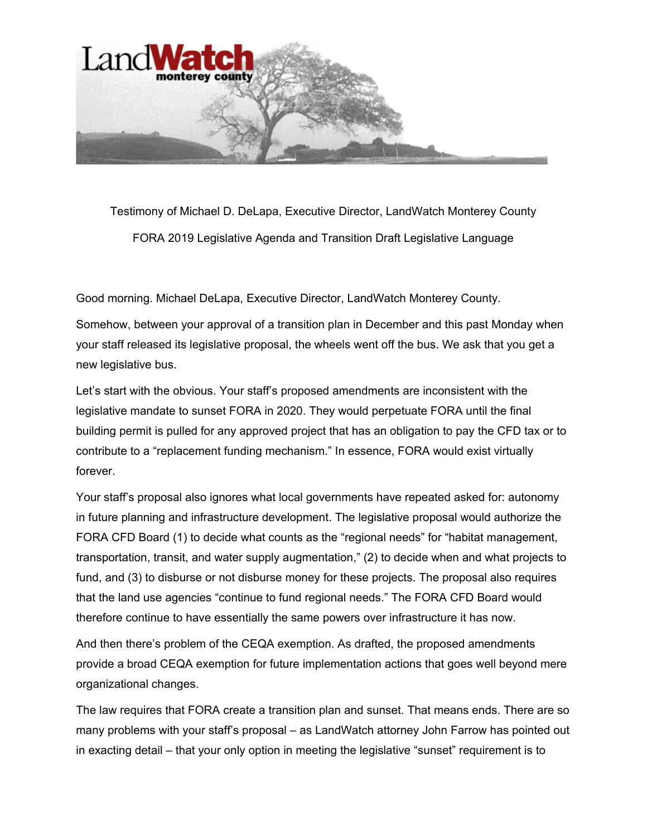

Testimony of Michael D. DeLapa, Executive Director, LandWatch Monterey County FORA 2019 Legislative Agenda and Transition Draft Legislative Language

Good morning. Michael DeLapa, Executive Director, LandWatch Monterey County.

Somehow, between your approval of a transition plan in December and this past Monday when your staff released its legislative proposal, the wheels went off the bus. We ask that you get a new legislative bus.

Let's start with the obvious. Your staff's proposed amendments are inconsistent with the legislative mandate to sunset FORA in 2020. They would perpetuate FORA until the final building permit is pulled for any approved project that has an obligation to pay the CFD tax or to contribute to a "replacement funding mechanism." In essence, FORA would exist virtually forever.

Your staff's proposal also ignores what local governments have repeated asked for: autonomy in future planning and infrastructure development. The legislative proposal would authorize the FORA CFD Board (1) to decide what counts as the "regional needs" for "habitat management, transportation, transit, and water supply augmentation," (2) to decide when and what projects to fund, and (3) to disburse or not disburse money for these projects. The proposal also requires that the land use agencies "continue to fund regional needs." The FORA CFD Board would therefore continue to have essentially the same powers over infrastructure it has now.

And then there's problem of the CEQA exemption. As drafted, the proposed amendments provide a broad CEQA exemption for future implementation actions that goes well beyond mere organizational changes.

The law requires that FORA create a transition plan and sunset. That means ends. There are so many problems with your staff's proposal – as LandWatch attorney John Farrow has pointed out in exacting detail – that your only option in meeting the legislative "sunset" requirement is to